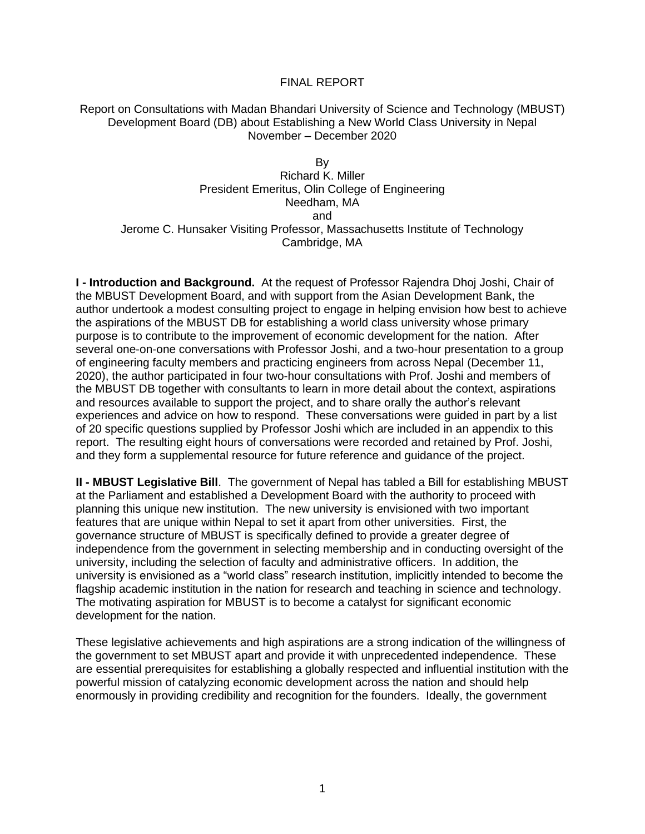#### FINAL REPORT

#### Report on Consultations with Madan Bhandari University of Science and Technology (MBUST) Development Board (DB) about Establishing a New World Class University in Nepal November – December 2020

By Richard K. Miller President Emeritus, Olin College of Engineering Needham, MA and Jerome C. Hunsaker Visiting Professor, Massachusetts Institute of Technology Cambridge, MA

**I - Introduction and Background.** At the request of Professor Rajendra Dhoj Joshi, Chair of the MBUST Development Board, and with support from the Asian Development Bank, the author undertook a modest consulting project to engage in helping envision how best to achieve the aspirations of the MBUST DB for establishing a world class university whose primary purpose is to contribute to the improvement of economic development for the nation. After several one-on-one conversations with Professor Joshi, and a two-hour presentation to a group of engineering faculty members and practicing engineers from across Nepal (December 11, 2020), the author participated in four two-hour consultations with Prof. Joshi and members of the MBUST DB together with consultants to learn in more detail about the context, aspirations and resources available to support the project, and to share orally the author's relevant experiences and advice on how to respond. These conversations were guided in part by a list of 20 specific questions supplied by Professor Joshi which are included in an appendix to this report. The resulting eight hours of conversations were recorded and retained by Prof. Joshi, and they form a supplemental resource for future reference and guidance of the project.

**II - MBUST Legislative Bill**. The government of Nepal has tabled a Bill for establishing MBUST at the Parliament and established a Development Board with the authority to proceed with planning this unique new institution. The new university is envisioned with two important features that are unique within Nepal to set it apart from other universities. First, the governance structure of MBUST is specifically defined to provide a greater degree of independence from the government in selecting membership and in conducting oversight of the university, including the selection of faculty and administrative officers. In addition, the university is envisioned as a "world class" research institution, implicitly intended to become the flagship academic institution in the nation for research and teaching in science and technology. The motivating aspiration for MBUST is to become a catalyst for significant economic development for the nation.

These legislative achievements and high aspirations are a strong indication of the willingness of the government to set MBUST apart and provide it with unprecedented independence. These are essential prerequisites for establishing a globally respected and influential institution with the powerful mission of catalyzing economic development across the nation and should help enormously in providing credibility and recognition for the founders. Ideally, the government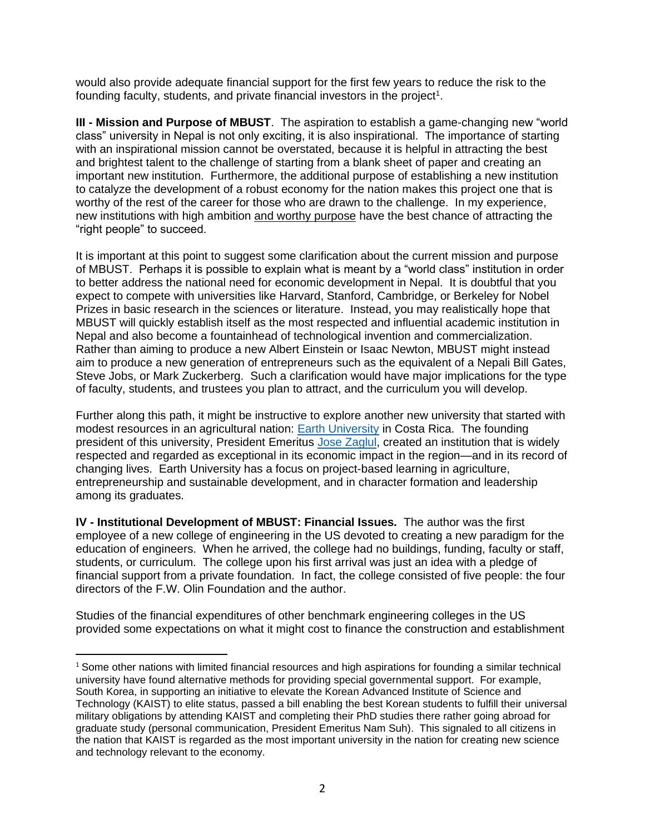would also provide adequate financial support for the first few years to reduce the risk to the founding faculty, students, and private financial investors in the project<sup>1</sup>.

**III - Mission and Purpose of MBUST**. The aspiration to establish a game-changing new "world class" university in Nepal is not only exciting, it is also inspirational. The importance of starting with an inspirational mission cannot be overstated, because it is helpful in attracting the best and brightest talent to the challenge of starting from a blank sheet of paper and creating an important new institution. Furthermore, the additional purpose of establishing a new institution to catalyze the development of a robust economy for the nation makes this project one that is worthy of the rest of the career for those who are drawn to the challenge. In my experience, new institutions with high ambition and worthy purpose have the best chance of attracting the "right people" to succeed.

It is important at this point to suggest some clarification about the current mission and purpose of MBUST. Perhaps it is possible to explain what is meant by a "world class" institution in order to better address the national need for economic development in Nepal. It is doubtful that you expect to compete with universities like Harvard, Stanford, Cambridge, or Berkeley for Nobel Prizes in basic research in the sciences or literature. Instead, you may realistically hope that MBUST will quickly establish itself as the most respected and influential academic institution in Nepal and also become a fountainhead of technological invention and commercialization. Rather than aiming to produce a new Albert Einstein or Isaac Newton, MBUST might instead aim to produce a new generation of entrepreneurs such as the equivalent of a Nepali Bill Gates, Steve Jobs, or Mark Zuckerberg. Such a clarification would have major implications for the type of faculty, students, and trustees you plan to attract, and the curriculum you will develop.

Further along this path, it might be instructive to explore another new university that started with modest resources in an agricultural nation: [Earth University](https://www.earth.ac.cr/en/) in Costa Rica. The founding president of this university, President Emeritus [Jose Zaglul,](https://skoll.org/contributor/jose-zaglul/) created an institution that is widely respected and regarded as exceptional in its economic impact in the region—and in its record of changing lives. Earth University has a focus on project-based learning in agriculture, entrepreneurship and sustainable development, and in character formation and leadership among its graduates.

**IV - Institutional Development of MBUST: Financial Issues.** The author was the first employee of a new college of engineering in the US devoted to creating a new paradigm for the education of engineers. When he arrived, the college had no buildings, funding, faculty or staff, students, or curriculum. The college upon his first arrival was just an idea with a pledge of financial support from a private foundation. In fact, the college consisted of five people: the four directors of the F.W. Olin Foundation and the author.

Studies of the financial expenditures of other benchmark engineering colleges in the US provided some expectations on what it might cost to finance the construction and establishment

 $1$  Some other nations with limited financial resources and high aspirations for founding a similar technical university have found alternative methods for providing special governmental support. For example, South Korea, in supporting an initiative to elevate the Korean Advanced Institute of Science and Technology (KAIST) to elite status, passed a bill enabling the best Korean students to fulfill their universal military obligations by attending KAIST and completing their PhD studies there rather going abroad for graduate study (personal communication, President Emeritus Nam Suh). This signaled to all citizens in the nation that KAIST is regarded as the most important university in the nation for creating new science and technology relevant to the economy.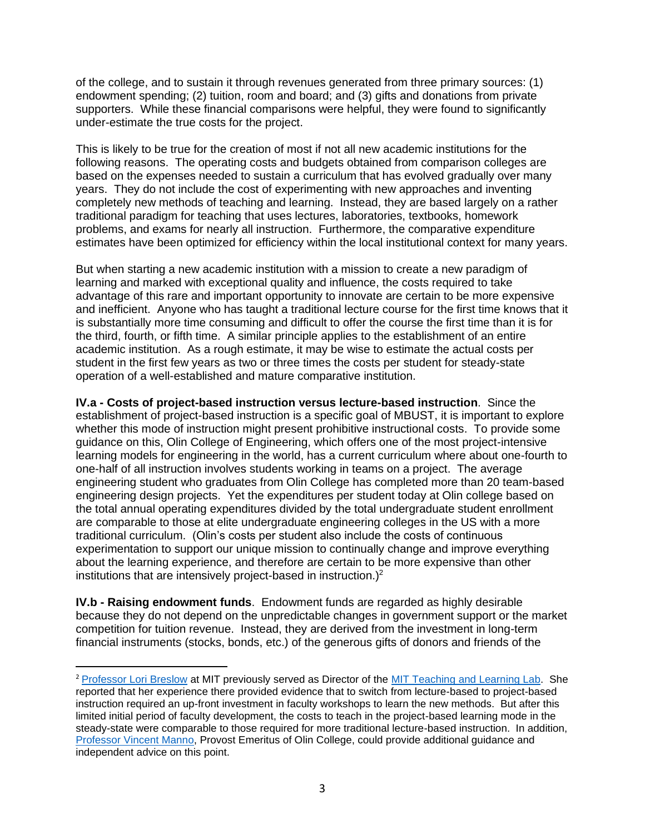of the college, and to sustain it through revenues generated from three primary sources: (1) endowment spending; (2) tuition, room and board; and (3) gifts and donations from private supporters. While these financial comparisons were helpful, they were found to significantly under-estimate the true costs for the project.

This is likely to be true for the creation of most if not all new academic institutions for the following reasons. The operating costs and budgets obtained from comparison colleges are based on the expenses needed to sustain a curriculum that has evolved gradually over many years. They do not include the cost of experimenting with new approaches and inventing completely new methods of teaching and learning. Instead, they are based largely on a rather traditional paradigm for teaching that uses lectures, laboratories, textbooks, homework problems, and exams for nearly all instruction. Furthermore, the comparative expenditure estimates have been optimized for efficiency within the local institutional context for many years.

But when starting a new academic institution with a mission to create a new paradigm of learning and marked with exceptional quality and influence, the costs required to take advantage of this rare and important opportunity to innovate are certain to be more expensive and inefficient. Anyone who has taught a traditional lecture course for the first time knows that it is substantially more time consuming and difficult to offer the course the first time than it is for the third, fourth, or fifth time. A similar principle applies to the establishment of an entire academic institution. As a rough estimate, it may be wise to estimate the actual costs per student in the first few years as two or three times the costs per student for steady-state operation of a well-established and mature comparative institution.

**IV.a - Costs of project-based instruction versus lecture-based instruction**. Since the establishment of project-based instruction is a specific goal of MBUST, it is important to explore whether this mode of instruction might present prohibitive instructional costs. To provide some guidance on this, Olin College of Engineering, which offers one of the most project-intensive learning models for engineering in the world, has a current curriculum where about one-fourth to one-half of all instruction involves students working in teams on a project. The average engineering student who graduates from Olin College has completed more than 20 team-based engineering design projects. Yet the expenditures per student today at Olin college based on the total annual operating expenditures divided by the total undergraduate student enrollment are comparable to those at elite undergraduate engineering colleges in the US with a more traditional curriculum. (Olin's costs per student also include the costs of continuous experimentation to support our unique mission to continually change and improve everything about the learning experience, and therefore are certain to be more expensive than other institutions that are intensively project-based in instruction.)<sup>2</sup>

**IV.b - Raising endowment funds**. Endowment funds are regarded as highly desirable because they do not depend on the unpredictable changes in government support or the market competition for tuition revenue. Instead, they are derived from the investment in long-term financial instruments (stocks, bonds, etc.) of the generous gifts of donors and friends of the

<sup>&</sup>lt;sup>2</sup> [Professor Lori Breslow](https://mitsloan.mit.edu/faculty/directory/lori-breslow) at MIT previously served as Director of the [MIT Teaching and Learning Lab.](https://tll.mit.edu/) She reported that her experience there provided evidence that to switch from lecture-based to project-based instruction required an up-front investment in faculty workshops to learn the new methods. But after this limited initial period of faculty development, the costs to teach in the project-based learning mode in the steady-state were comparable to those required for more traditional lecture-based instruction. In addition, [Professor Vincent Manno,](https://www.olin.edu/faculty/profile/vincent-p-manno/) Provost Emeritus of Olin College, could provide additional guidance and independent advice on this point.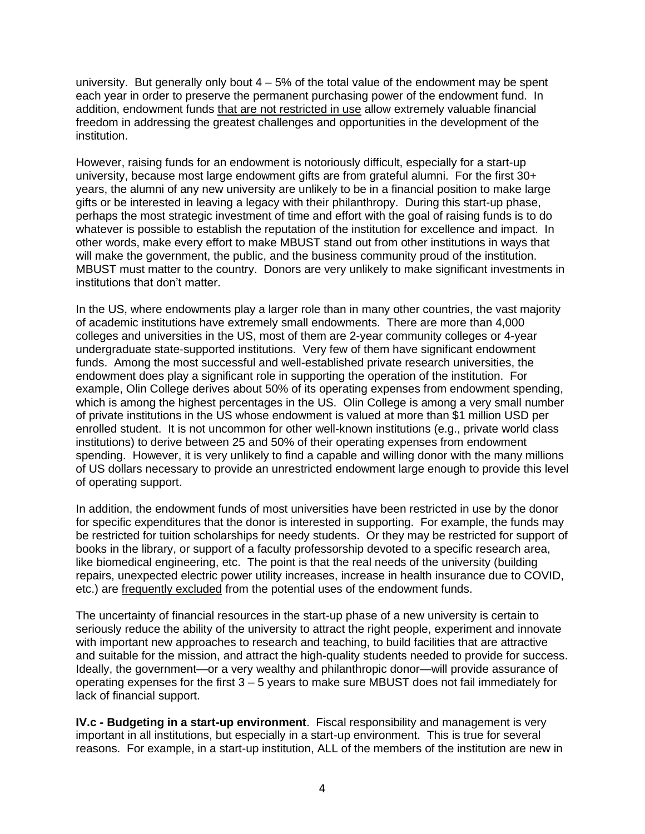university. But generally only bout  $4 - 5%$  of the total value of the endowment may be spent each year in order to preserve the permanent purchasing power of the endowment fund. In addition, endowment funds that are not restricted in use allow extremely valuable financial freedom in addressing the greatest challenges and opportunities in the development of the institution.

However, raising funds for an endowment is notoriously difficult, especially for a start-up university, because most large endowment gifts are from grateful alumni. For the first 30+ years, the alumni of any new university are unlikely to be in a financial position to make large gifts or be interested in leaving a legacy with their philanthropy. During this start-up phase, perhaps the most strategic investment of time and effort with the goal of raising funds is to do whatever is possible to establish the reputation of the institution for excellence and impact. In other words, make every effort to make MBUST stand out from other institutions in ways that will make the government, the public, and the business community proud of the institution. MBUST must matter to the country. Donors are very unlikely to make significant investments in institutions that don't matter.

In the US, where endowments play a larger role than in many other countries, the vast majority of academic institutions have extremely small endowments. There are more than 4,000 colleges and universities in the US, most of them are 2-year community colleges or 4-year undergraduate state-supported institutions. Very few of them have significant endowment funds. Among the most successful and well-established private research universities, the endowment does play a significant role in supporting the operation of the institution. For example, Olin College derives about 50% of its operating expenses from endowment spending, which is among the highest percentages in the US. Olin College is among a very small number of private institutions in the US whose endowment is valued at more than \$1 million USD per enrolled student. It is not uncommon for other well-known institutions (e.g., private world class institutions) to derive between 25 and 50% of their operating expenses from endowment spending. However, it is very unlikely to find a capable and willing donor with the many millions of US dollars necessary to provide an unrestricted endowment large enough to provide this level of operating support.

In addition, the endowment funds of most universities have been restricted in use by the donor for specific expenditures that the donor is interested in supporting. For example, the funds may be restricted for tuition scholarships for needy students. Or they may be restricted for support of books in the library, or support of a faculty professorship devoted to a specific research area, like biomedical engineering, etc. The point is that the real needs of the university (building repairs, unexpected electric power utility increases, increase in health insurance due to COVID, etc.) are frequently excluded from the potential uses of the endowment funds.

The uncertainty of financial resources in the start-up phase of a new university is certain to seriously reduce the ability of the university to attract the right people, experiment and innovate with important new approaches to research and teaching, to build facilities that are attractive and suitable for the mission, and attract the high-quality students needed to provide for success. Ideally, the government—or a very wealthy and philanthropic donor—will provide assurance of operating expenses for the first 3 – 5 years to make sure MBUST does not fail immediately for lack of financial support.

**IV.c - Budgeting in a start-up environment**. Fiscal responsibility and management is very important in all institutions, but especially in a start-up environment. This is true for several reasons. For example, in a start-up institution, ALL of the members of the institution are new in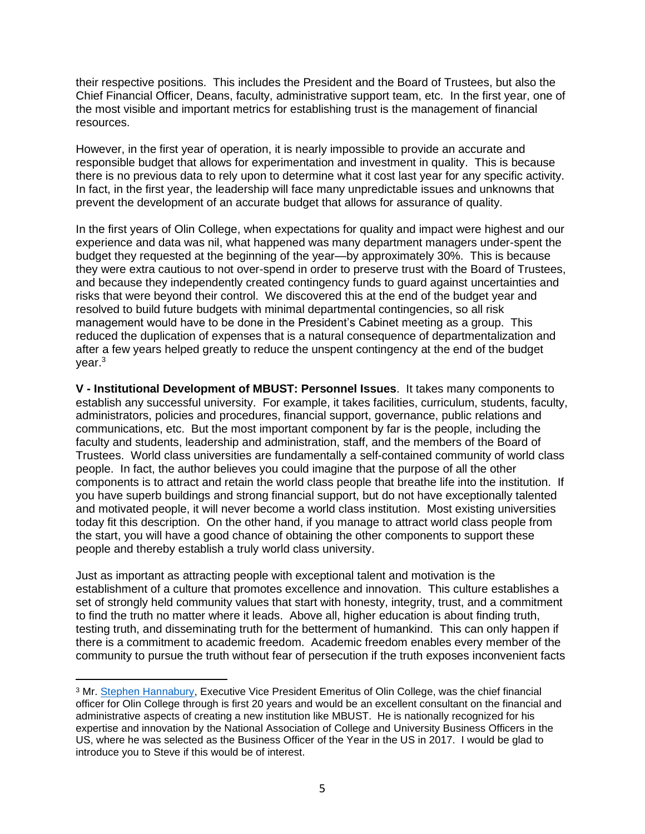their respective positions. This includes the President and the Board of Trustees, but also the Chief Financial Officer, Deans, faculty, administrative support team, etc. In the first year, one of the most visible and important metrics for establishing trust is the management of financial resources.

However, in the first year of operation, it is nearly impossible to provide an accurate and responsible budget that allows for experimentation and investment in quality. This is because there is no previous data to rely upon to determine what it cost last year for any specific activity. In fact, in the first year, the leadership will face many unpredictable issues and unknowns that prevent the development of an accurate budget that allows for assurance of quality.

In the first years of Olin College, when expectations for quality and impact were highest and our experience and data was nil, what happened was many department managers under-spent the budget they requested at the beginning of the year—by approximately 30%. This is because they were extra cautious to not over-spend in order to preserve trust with the Board of Trustees, and because they independently created contingency funds to guard against uncertainties and risks that were beyond their control. We discovered this at the end of the budget year and resolved to build future budgets with minimal departmental contingencies, so all risk management would have to be done in the President's Cabinet meeting as a group. This reduced the duplication of expenses that is a natural consequence of departmentalization and after a few years helped greatly to reduce the unspent contingency at the end of the budget year.<sup>3</sup>

**V - Institutional Development of MBUST: Personnel Issues**. It takes many components to establish any successful university. For example, it takes facilities, curriculum, students, faculty, administrators, policies and procedures, financial support, governance, public relations and communications, etc. But the most important component by far is the people, including the faculty and students, leadership and administration, staff, and the members of the Board of Trustees. World class universities are fundamentally a self-contained community of world class people. In fact, the author believes you could imagine that the purpose of all the other components is to attract and retain the world class people that breathe life into the institution. If you have superb buildings and strong financial support, but do not have exceptionally talented and motivated people, it will never become a world class institution. Most existing universities today fit this description. On the other hand, if you manage to attract world class people from the start, you will have a good chance of obtaining the other components to support these people and thereby establish a truly world class university.

Just as important as attracting people with exceptional talent and motivation is the establishment of a culture that promotes excellence and innovation. This culture establishes a set of strongly held community values that start with honesty, integrity, trust, and a commitment to find the truth no matter where it leads. Above all, higher education is about finding truth, testing truth, and disseminating truth for the betterment of humankind. This can only happen if there is a commitment to academic freedom. Academic freedom enables every member of the community to pursue the truth without fear of persecution if the truth exposes inconvenient facts

<sup>3</sup> Mr. [Stephen Hannabury,](https://www.linkedin.com/in/stephen-hannabury-2a65ba21) Executive Vice President Emeritus of Olin College, was the chief financial officer for Olin College through is first 20 years and would be an excellent consultant on the financial and administrative aspects of creating a new institution like MBUST. He is nationally recognized for his expertise and innovation by the National Association of College and University Business Officers in the US, where he was selected as the Business Officer of the Year in the US in 2017. I would be glad to introduce you to Steve if this would be of interest.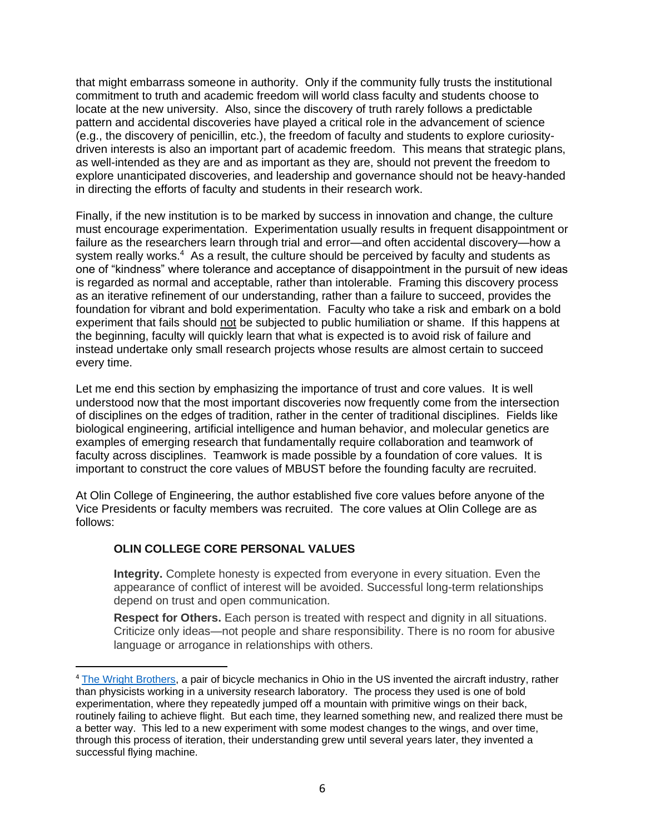that might embarrass someone in authority. Only if the community fully trusts the institutional commitment to truth and academic freedom will world class faculty and students choose to locate at the new university. Also, since the discovery of truth rarely follows a predictable pattern and accidental discoveries have played a critical role in the advancement of science (e.g., the discovery of penicillin, etc.), the freedom of faculty and students to explore curiositydriven interests is also an important part of academic freedom. This means that strategic plans, as well-intended as they are and as important as they are, should not prevent the freedom to explore unanticipated discoveries, and leadership and governance should not be heavy-handed in directing the efforts of faculty and students in their research work.

Finally, if the new institution is to be marked by success in innovation and change, the culture must encourage experimentation. Experimentation usually results in frequent disappointment or failure as the researchers learn through trial and error—and often accidental discovery—how a system really works.<sup>4</sup> As a result, the culture should be perceived by faculty and students as one of "kindness" where tolerance and acceptance of disappointment in the pursuit of new ideas is regarded as normal and acceptable, rather than intolerable. Framing this discovery process as an iterative refinement of our understanding, rather than a failure to succeed, provides the foundation for vibrant and bold experimentation. Faculty who take a risk and embark on a bold experiment that fails should not be subjected to public humiliation or shame. If this happens at the beginning, faculty will quickly learn that what is expected is to avoid risk of failure and instead undertake only small research projects whose results are almost certain to succeed every time.

Let me end this section by emphasizing the importance of trust and core values. It is well understood now that the most important discoveries now frequently come from the intersection of disciplines on the edges of tradition, rather in the center of traditional disciplines. Fields like biological engineering, artificial intelligence and human behavior, and molecular genetics are examples of emerging research that fundamentally require collaboration and teamwork of faculty across disciplines. Teamwork is made possible by a foundation of core values. It is important to construct the core values of MBUST before the founding faculty are recruited.

At Olin College of Engineering, the author established five core values before anyone of the Vice Presidents or faculty members was recruited. The core values at Olin College are as follows:

### **OLIN COLLEGE CORE PERSONAL VALUES**

**Integrity.** Complete honesty is expected from everyone in every situation. Even the appearance of conflict of interest will be avoided. Successful long-term relationships depend on trust and open communication.

**Respect for Others.** Each person is treated with respect and dignity in all situations. Criticize only ideas—not people and share responsibility. There is no room for abusive language or arrogance in relationships with others.

<sup>4</sup> [The Wright Brothers,](https://www.amazon.com/Wright-Brothers-David-McCullough/dp/1476728755/ref=pd_sbs_1?pd_rd_w=ZQOLV&pf_rd_p=ed1e2146-ecfe-435e-b3b5-d79fa072fd58&pf_rd_r=7Y1N17ER1YTWVS6CK8VK&pd_rd_r=e2eb2b47-7277-409a-9f08-13fe01e6493d&pd_rd_wg=ntuED&pd_rd_i=1476728755&psc=1) a pair of bicycle mechanics in Ohio in the US invented the aircraft industry, rather than physicists working in a university research laboratory. The process they used is one of bold experimentation, where they repeatedly jumped off a mountain with primitive wings on their back, routinely failing to achieve flight. But each time, they learned something new, and realized there must be a better way. This led to a new experiment with some modest changes to the wings, and over time, through this process of iteration, their understanding grew until several years later, they invented a successful flying machine.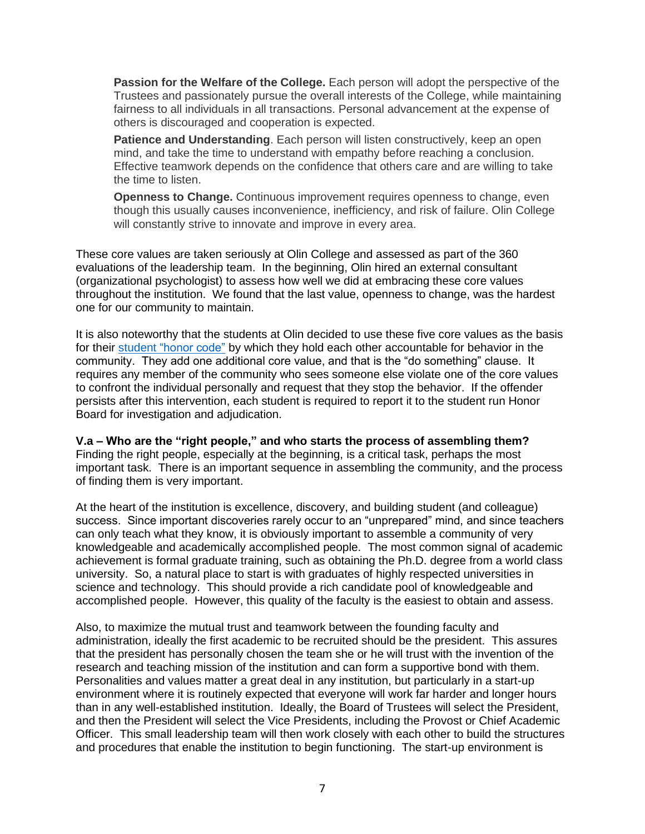**Passion for the Welfare of the College.** Each person will adopt the perspective of the Trustees and passionately pursue the overall interests of the College, while maintaining fairness to all individuals in all transactions. Personal advancement at the expense of others is discouraged and cooperation is expected.

**Patience and Understanding**. Each person will listen constructively, keep an open mind, and take the time to understand with empathy before reaching a conclusion. Effective teamwork depends on the confidence that others care and are willing to take the time to listen.

**Openness to Change.** Continuous improvement requires openness to change, even though this usually causes inconvenience, inefficiency, and risk of failure. Olin College will constantly strive to innovate and improve in every area.

These core values are taken seriously at Olin College and assessed as part of the 360 evaluations of the leadership team. In the beginning, Olin hired an external consultant (organizational psychologist) to assess how well we did at embracing these core values throughout the institution. We found that the last value, openness to change, was the hardest one for our community to maintain.

It is also noteworthy that the students at Olin decided to use these five core values as the basis for their student ["honor code"](https://meet.olin.edu/olin-isms/fundamental-element-olins-culture-trust) by which they hold each other accountable for behavior in the community. They add one additional core value, and that is the "do something" clause. It requires any member of the community who sees someone else violate one of the core values to confront the individual personally and request that they stop the behavior. If the offender persists after this intervention, each student is required to report it to the student run Honor Board for investigation and adjudication.

#### **V.a – Who are the "right people," and who starts the process of assembling them?**

Finding the right people, especially at the beginning, is a critical task, perhaps the most important task. There is an important sequence in assembling the community, and the process of finding them is very important.

At the heart of the institution is excellence, discovery, and building student (and colleague) success. Since important discoveries rarely occur to an "unprepared" mind, and since teachers can only teach what they know, it is obviously important to assemble a community of very knowledgeable and academically accomplished people. The most common signal of academic achievement is formal graduate training, such as obtaining the Ph.D. degree from a world class university. So, a natural place to start is with graduates of highly respected universities in science and technology. This should provide a rich candidate pool of knowledgeable and accomplished people. However, this quality of the faculty is the easiest to obtain and assess.

Also, to maximize the mutual trust and teamwork between the founding faculty and administration, ideally the first academic to be recruited should be the president. This assures that the president has personally chosen the team she or he will trust with the invention of the research and teaching mission of the institution and can form a supportive bond with them. Personalities and values matter a great deal in any institution, but particularly in a start-up environment where it is routinely expected that everyone will work far harder and longer hours than in any well-established institution. Ideally, the Board of Trustees will select the President, and then the President will select the Vice Presidents, including the Provost or Chief Academic Officer. This small leadership team will then work closely with each other to build the structures and procedures that enable the institution to begin functioning. The start-up environment is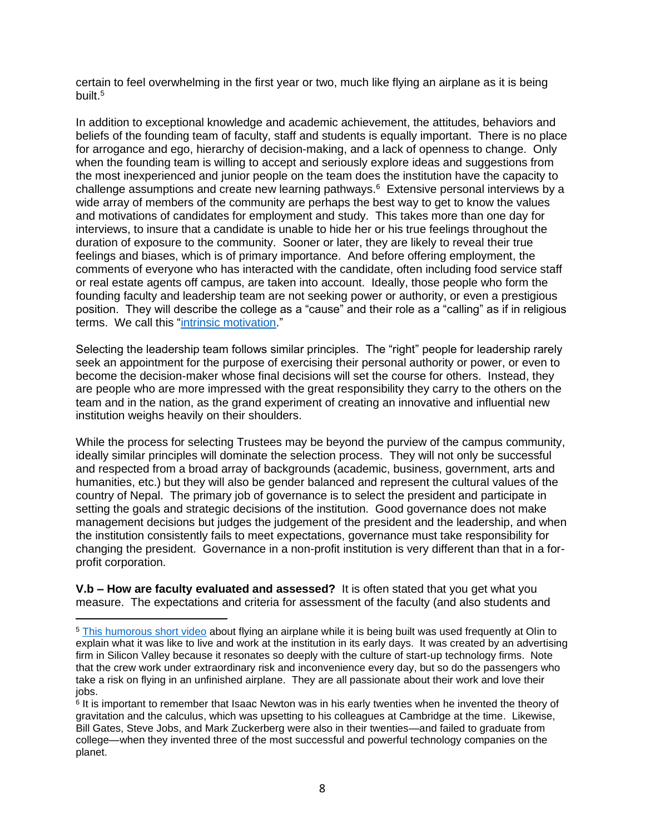certain to feel overwhelming in the first year or two, much like flying an airplane as it is being built.<sup>5</sup>

In addition to exceptional knowledge and academic achievement, the attitudes, behaviors and beliefs of the founding team of faculty, staff and students is equally important. There is no place for arrogance and ego, hierarchy of decision-making, and a lack of openness to change. Only when the founding team is willing to accept and seriously explore ideas and suggestions from the most inexperienced and junior people on the team does the institution have the capacity to challenge assumptions and create new learning pathways.<sup>6</sup> Extensive personal interviews by a wide array of members of the community are perhaps the best way to get to know the values and motivations of candidates for employment and study. This takes more than one day for interviews, to insure that a candidate is unable to hide her or his true feelings throughout the duration of exposure to the community. Sooner or later, they are likely to reveal their true feelings and biases, which is of primary importance. And before offering employment, the comments of everyone who has interacted with the candidate, often including food service staff or real estate agents off campus, are taken into account. Ideally, those people who form the founding faculty and leadership team are not seeking power or authority, or even a prestigious position. They will describe the college as a "cause" and their role as a "calling" as if in religious terms. We call this ["intrinsic motivation.](https://www.youtube.com/watch?v=y1SDV8nxypE)"

Selecting the leadership team follows similar principles. The "right" people for leadership rarely seek an appointment for the purpose of exercising their personal authority or power, or even to become the decision-maker whose final decisions will set the course for others. Instead, they are people who are more impressed with the great responsibility they carry to the others on the team and in the nation, as the grand experiment of creating an innovative and influential new institution weighs heavily on their shoulders.

While the process for selecting Trustees may be beyond the purview of the campus community, ideally similar principles will dominate the selection process. They will not only be successful and respected from a broad array of backgrounds (academic, business, government, arts and humanities, etc.) but they will also be gender balanced and represent the cultural values of the country of Nepal. The primary job of governance is to select the president and participate in setting the goals and strategic decisions of the institution. Good governance does not make management decisions but judges the judgement of the president and the leadership, and when the institution consistently fails to meet expectations, governance must take responsibility for changing the president. Governance in a non-profit institution is very different than that in a forprofit corporation.

**V.b – How are faculty evaluated and assessed?** It is often stated that you get what you measure. The expectations and criteria for assessment of the faculty (and also students and

<sup>5</sup> [This humorous short video](https://adland.tv/adnews/eds-airplane-2000-060-usa) about flying an airplane while it is being built was used frequently at Olin to explain what it was like to live and work at the institution in its early days. It was created by an advertising firm in Silicon Valley because it resonates so deeply with the culture of start-up technology firms. Note that the crew work under extraordinary risk and inconvenience every day, but so do the passengers who take a risk on flying in an unfinished airplane. They are all passionate about their work and love their jobs.

<sup>&</sup>lt;sup>6</sup> It is important to remember that Isaac Newton was in his early twenties when he invented the theory of gravitation and the calculus, which was upsetting to his colleagues at Cambridge at the time. Likewise, Bill Gates, Steve Jobs, and Mark Zuckerberg were also in their twenties—and failed to graduate from college—when they invented three of the most successful and powerful technology companies on the planet.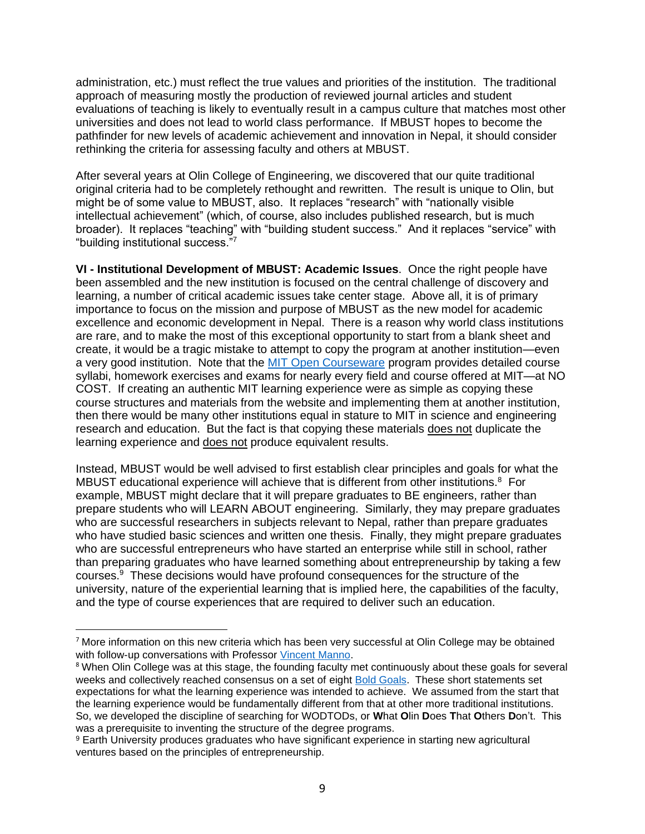administration, etc.) must reflect the true values and priorities of the institution. The traditional approach of measuring mostly the production of reviewed journal articles and student evaluations of teaching is likely to eventually result in a campus culture that matches most other universities and does not lead to world class performance. If MBUST hopes to become the pathfinder for new levels of academic achievement and innovation in Nepal, it should consider rethinking the criteria for assessing faculty and others at MBUST.

After several years at Olin College of Engineering, we discovered that our quite traditional original criteria had to be completely rethought and rewritten. The result is unique to Olin, but might be of some value to MBUST, also. It replaces "research" with "nationally visible intellectual achievement" (which, of course, also includes published research, but is much broader). It replaces "teaching" with "building student success." And it replaces "service" with "building institutional success."<sup>7</sup>

**VI - Institutional Development of MBUST: Academic Issues**. Once the right people have been assembled and the new institution is focused on the central challenge of discovery and learning, a number of critical academic issues take center stage. Above all, it is of primary importance to focus on the mission and purpose of MBUST as the new model for academic excellence and economic development in Nepal. There is a reason why world class institutions are rare, and to make the most of this exceptional opportunity to start from a blank sheet and create, it would be a tragic mistake to attempt to copy the program at another institution—even a very good institution. Note that the [MIT Open Courseware](https://ocw.mit.edu/index.htm) program provides detailed course syllabi, homework exercises and exams for nearly every field and course offered at MIT—at NO COST. If creating an authentic MIT learning experience were as simple as copying these course structures and materials from the website and implementing them at another institution, then there would be many other institutions equal in stature to MIT in science and engineering research and education. But the fact is that copying these materials does not duplicate the learning experience and does not produce equivalent results.

Instead, MBUST would be well advised to first establish clear principles and goals for what the MBUST educational experience will achieve that is different from other institutions. $8$  For example, MBUST might declare that it will prepare graduates to BE engineers, rather than prepare students who will LEARN ABOUT engineering. Similarly, they may prepare graduates who are successful researchers in subjects relevant to Nepal, rather than prepare graduates who have studied basic sciences and written one thesis. Finally, they might prepare graduates who are successful entrepreneurs who have started an enterprise while still in school, rather than preparing graduates who have learned something about entrepreneurship by taking a few courses. 9 These decisions would have profound consequences for the structure of the university, nature of the experiential learning that is implied here, the capabilities of the faculty, and the type of course experiences that are required to deliver such an education.

<sup>7</sup> More information on this new criteria which has been very successful at Olin College may be obtained with follow-up conversations with Professor [Vincent Manno.](https://www.olin.edu/faculty/profile/vincent-p-manno/)

<sup>&</sup>lt;sup>8</sup> When Olin College was at this stage, the founding faculty met continuously about these goals for several weeks and collectively reached consensus on a set of eight [Bold Goals.](http://www.olin.edu/sites/default/files/curricular_vision.pdf) These short statements set expectations for what the learning experience was intended to achieve. We assumed from the start that the learning experience would be fundamentally different from that at other more traditional institutions. So, we developed the discipline of searching for WODTODs, or **W**hat **O**lin **D**oes **T**hat **O**thers **D**on't. This was a prerequisite to inventing the structure of the degree programs.

<sup>9</sup> Earth University produces graduates who have significant experience in starting new agricultural ventures based on the principles of entrepreneurship.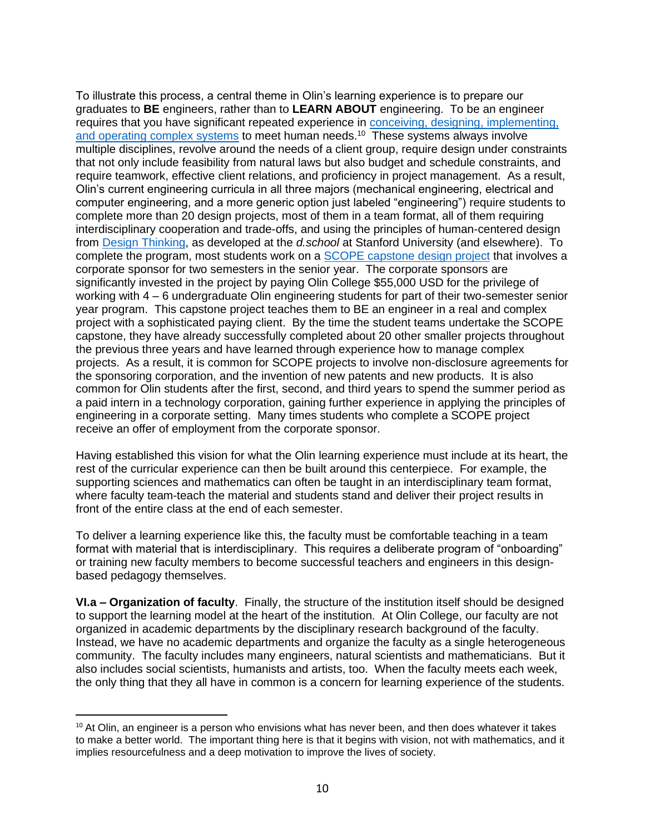To illustrate this process, a central theme in Olin's learning experience is to prepare our graduates to **BE** engineers, rather than to **LEARN ABOUT** engineering. To be an engineer requires that you have significant repeated experience in [conceiving, designing, implementing,](http://www.cdio.org/)  [and operating complex systems](http://www.cdio.org/) to meet human needs.<sup>10</sup> These systems always involve multiple disciplines, revolve around the needs of a client group, require design under constraints that not only include feasibility from natural laws but also budget and schedule constraints, and require teamwork, effective client relations, and proficiency in project management. As a result, Olin's current engineering curricula in all three majors (mechanical engineering, electrical and computer engineering, and a more generic option just labeled "engineering") require students to complete more than 20 design projects, most of them in a team format, all of them requiring interdisciplinary cooperation and trade-offs, and using the principles of human-centered design from [Design Thinking,](https://dschool.stanford.edu/) as developed at the *d.school* at Stanford University (and elsewhere). To complete the program, most students work on a [SCOPE capstone design project](https://www.olin.edu/collaborate/scope/) that involves a corporate sponsor for two semesters in the senior year. The corporate sponsors are significantly invested in the project by paying Olin College \$55,000 USD for the privilege of working with 4 – 6 undergraduate Olin engineering students for part of their two-semester senior year program. This capstone project teaches them to BE an engineer in a real and complex project with a sophisticated paying client. By the time the student teams undertake the SCOPE capstone, they have already successfully completed about 20 other smaller projects throughout the previous three years and have learned through experience how to manage complex projects. As a result, it is common for SCOPE projects to involve non-disclosure agreements for the sponsoring corporation, and the invention of new patents and new products. It is also common for Olin students after the first, second, and third years to spend the summer period as a paid intern in a technology corporation, gaining further experience in applying the principles of engineering in a corporate setting. Many times students who complete a SCOPE project receive an offer of employment from the corporate sponsor.

Having established this vision for what the Olin learning experience must include at its heart, the rest of the curricular experience can then be built around this centerpiece. For example, the supporting sciences and mathematics can often be taught in an interdisciplinary team format, where faculty team-teach the material and students stand and deliver their project results in front of the entire class at the end of each semester.

To deliver a learning experience like this, the faculty must be comfortable teaching in a team format with material that is interdisciplinary. This requires a deliberate program of "onboarding" or training new faculty members to become successful teachers and engineers in this designbased pedagogy themselves.

**VI.a – Organization of faculty**. Finally, the structure of the institution itself should be designed to support the learning model at the heart of the institution. At Olin College, our faculty are not organized in academic departments by the disciplinary research background of the faculty. Instead, we have no academic departments and organize the faculty as a single heterogeneous community. The faculty includes many engineers, natural scientists and mathematicians. But it also includes social scientists, humanists and artists, too. When the faculty meets each week, the only thing that they all have in common is a concern for learning experience of the students.

<sup>&</sup>lt;sup>10</sup> At Olin, an engineer is a person who envisions what has never been, and then does whatever it takes to make a better world. The important thing here is that it begins with vision, not with mathematics, and it implies resourcefulness and a deep motivation to improve the lives of society.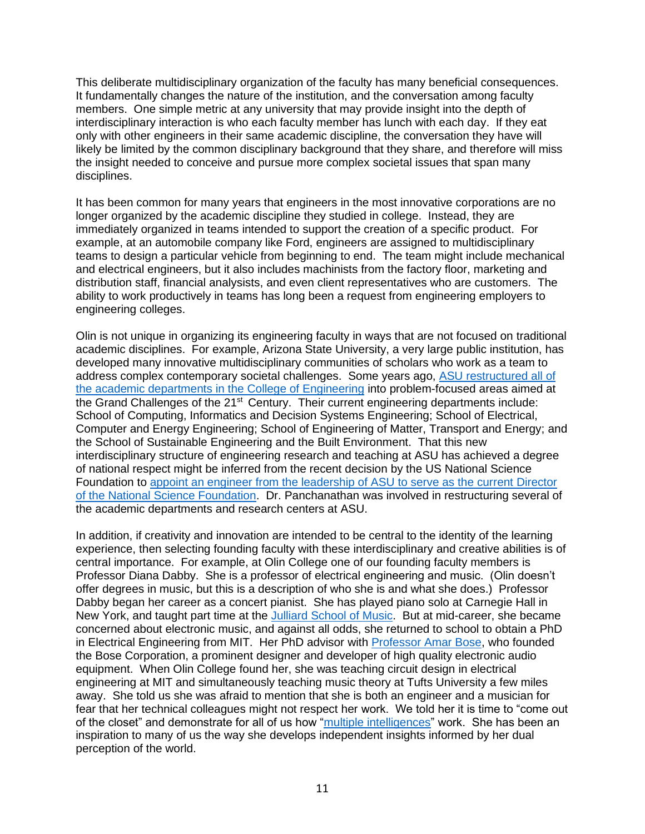This deliberate multidisciplinary organization of the faculty has many beneficial consequences. It fundamentally changes the nature of the institution, and the conversation among faculty members. One simple metric at any university that may provide insight into the depth of interdisciplinary interaction is who each faculty member has lunch with each day. If they eat only with other engineers in their same academic discipline, the conversation they have will likely be limited by the common disciplinary background that they share, and therefore will miss the insight needed to conceive and pursue more complex societal issues that span many disciplines.

It has been common for many years that engineers in the most innovative corporations are no longer organized by the academic discipline they studied in college. Instead, they are immediately organized in teams intended to support the creation of a specific product. For example, at an automobile company like Ford, engineers are assigned to multidisciplinary teams to design a particular vehicle from beginning to end. The team might include mechanical and electrical engineers, but it also includes machinists from the factory floor, marketing and distribution staff, financial analysists, and even client representatives who are customers. The ability to work productively in teams has long been a request from engineering employers to engineering colleges.

Olin is not unique in organizing its engineering faculty in ways that are not focused on traditional academic disciplines. For example, Arizona State University, a very large public institution, has developed many innovative multidisciplinary communities of scholars who work as a team to address complex contemporary societal challenges. Some years ago, [ASU restructured all of](https://engineering.asu.edu/undergraduate-degree-programs/)  [the academic departments in the College of Engineering](https://engineering.asu.edu/undergraduate-degree-programs/) into problem-focused areas aimed at the Grand Challenges of the 21<sup>st</sup> Century. Their current engineering departments include: School of Computing, Informatics and Decision Systems Engineering; School of Electrical, Computer and Energy Engineering; School of Engineering of Matter, Transport and Energy; and the School of Sustainable Engineering and the Built Environment. That this new interdisciplinary structure of engineering research and teaching at ASU has achieved a degree of national respect might be inferred from the recent decision by the US National Science Foundation to [appoint an engineer from the leadership of ASU to serve as the current Director](https://www.nsf.gov/news/news_summ.jsp?cntn_id=300793)  [of the National Science Foundation.](https://www.nsf.gov/news/news_summ.jsp?cntn_id=300793) Dr. Panchanathan was involved in restructuring several of the academic departments and research centers at ASU.

In addition, if creativity and innovation are intended to be central to the identity of the learning experience, then selecting founding faculty with these interdisciplinary and creative abilities is of central importance. For example, at Olin College one of our founding faculty members is Professor Diana Dabby. She is a professor of electrical engineering and music. (Olin doesn't offer degrees in music, but this is a description of who she is and what she does.) Professor Dabby began her career as a concert pianist. She has played piano solo at Carnegie Hall in New York, and taught part time at the [Julliard School of Music.](https://www.juilliard.edu/) But at mid-career, she became concerned about electronic music, and against all odds, she returned to school to obtain a PhD in Electrical Engineering from MIT. Her PhD advisor with [Professor Amar Bose,](https://en.wikipedia.org/wiki/Amar_Bose) who founded the Bose Corporation, a prominent designer and developer of high quality electronic audio equipment. When Olin College found her, she was teaching circuit design in electrical engineering at MIT and simultaneously teaching music theory at Tufts University a few miles away. She told us she was afraid to mention that she is both an engineer and a musician for fear that her technical colleagues might not respect her work. We told her it is time to "come out of the closet" and demonstrate for all of us how ["multiple intelligences"](https://www.verywellmind.com/gardners-theory-of-multiple-intelligences-2795161) work. She has been an inspiration to many of us the way she develops independent insights informed by her dual perception of the world.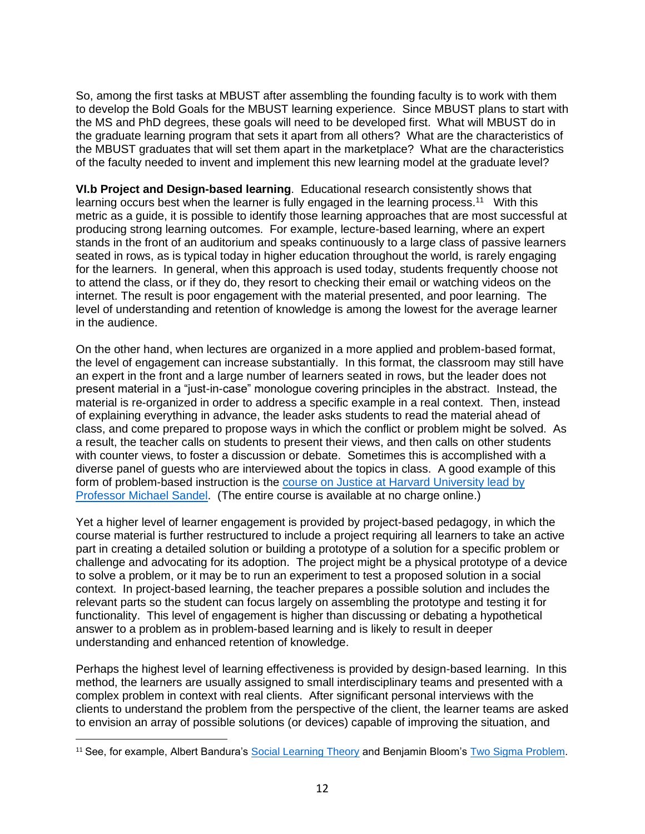So, among the first tasks at MBUST after assembling the founding faculty is to work with them to develop the Bold Goals for the MBUST learning experience. Since MBUST plans to start with the MS and PhD degrees, these goals will need to be developed first. What will MBUST do in the graduate learning program that sets it apart from all others? What are the characteristics of the MBUST graduates that will set them apart in the marketplace? What are the characteristics of the faculty needed to invent and implement this new learning model at the graduate level?

**VI.b Project and Design-based learning**. Educational research consistently shows that learning occurs best when the learner is fully engaged in the learning process.<sup>11</sup> With this metric as a guide, it is possible to identify those learning approaches that are most successful at producing strong learning outcomes. For example, lecture-based learning, where an expert stands in the front of an auditorium and speaks continuously to a large class of passive learners seated in rows, as is typical today in higher education throughout the world, is rarely engaging for the learners. In general, when this approach is used today, students frequently choose not to attend the class, or if they do, they resort to checking their email or watching videos on the internet. The result is poor engagement with the material presented, and poor learning. The level of understanding and retention of knowledge is among the lowest for the average learner in the audience.

On the other hand, when lectures are organized in a more applied and problem-based format, the level of engagement can increase substantially. In this format, the classroom may still have an expert in the front and a large number of learners seated in rows, but the leader does not present material in a "just-in-case" monologue covering principles in the abstract. Instead, the material is re-organized in order to address a specific example in a real context. Then, instead of explaining everything in advance, the leader asks students to read the material ahead of class, and come prepared to propose ways in which the conflict or problem might be solved. As a result, the teacher calls on students to present their views, and then calls on other students with counter views, to foster a discussion or debate. Sometimes this is accomplished with a diverse panel of guests who are interviewed about the topics in class. A good example of this form of problem-based instruction is the **course on Justice at Harvard University lead by** [Professor Michael Sandel.](https://justiceharvard.org/) (The entire course is available at no charge online.)

Yet a higher level of learner engagement is provided by project-based pedagogy, in which the course material is further restructured to include a project requiring all learners to take an active part in creating a detailed solution or building a prototype of a solution for a specific problem or challenge and advocating for its adoption. The project might be a physical prototype of a device to solve a problem, or it may be to run an experiment to test a proposed solution in a social context. In project-based learning, the teacher prepares a possible solution and includes the relevant parts so the student can focus largely on assembling the prototype and testing it for functionality. This level of engagement is higher than discussing or debating a hypothetical answer to a problem as in problem-based learning and is likely to result in deeper understanding and enhanced retention of knowledge.

Perhaps the highest level of learning effectiveness is provided by design-based learning. In this method, the learners are usually assigned to small interdisciplinary teams and presented with a complex problem in context with real clients. After significant personal interviews with the clients to understand the problem from the perspective of the client, the learner teams are asked to envision an array of possible solutions (or devices) capable of improving the situation, and

<sup>&</sup>lt;sup>11</sup> See, for example, Albert Bandura's **Social Learning Theory** and Benjamin Bloom's [Two Sigma Problem.](http://web.mit.edu/5.95/www/readings/bloom-two-sigma.pdf)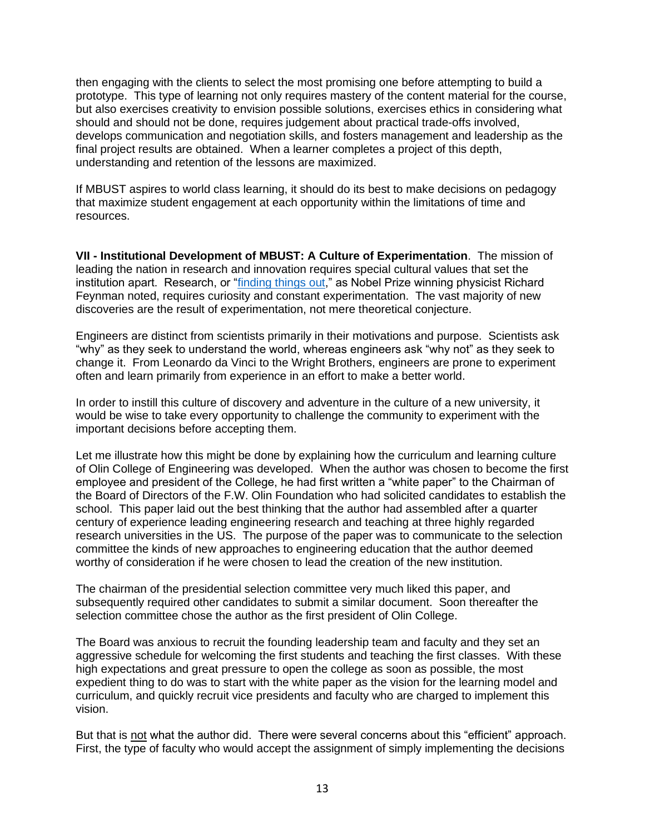then engaging with the clients to select the most promising one before attempting to build a prototype. This type of learning not only requires mastery of the content material for the course, but also exercises creativity to envision possible solutions, exercises ethics in considering what should and should not be done, requires judgement about practical trade-offs involved, develops communication and negotiation skills, and fosters management and leadership as the final project results are obtained. When a learner completes a project of this depth, understanding and retention of the lessons are maximized.

If MBUST aspires to world class learning, it should do its best to make decisions on pedagogy that maximize student engagement at each opportunity within the limitations of time and resources.

**VII - Institutional Development of MBUST: A Culture of Experimentation**. The mission of leading the nation in research and innovation requires special cultural values that set the institution apart. Research, or ["finding things out,](https://www.amazon.com/Pleasure-Finding-Things-Out-Richard/dp/0465023959)" as Nobel Prize winning physicist Richard Feynman noted, requires curiosity and constant experimentation. The vast majority of new discoveries are the result of experimentation, not mere theoretical conjecture.

Engineers are distinct from scientists primarily in their motivations and purpose. Scientists ask "why" as they seek to understand the world, whereas engineers ask "why not" as they seek to change it. From Leonardo da Vinci to the Wright Brothers, engineers are prone to experiment often and learn primarily from experience in an effort to make a better world.

In order to instill this culture of discovery and adventure in the culture of a new university, it would be wise to take every opportunity to challenge the community to experiment with the important decisions before accepting them.

Let me illustrate how this might be done by explaining how the curriculum and learning culture of Olin College of Engineering was developed. When the author was chosen to become the first employee and president of the College, he had first written a "white paper" to the Chairman of the Board of Directors of the F.W. Olin Foundation who had solicited candidates to establish the school. This paper laid out the best thinking that the author had assembled after a quarter century of experience leading engineering research and teaching at three highly regarded research universities in the US. The purpose of the paper was to communicate to the selection committee the kinds of new approaches to engineering education that the author deemed worthy of consideration if he were chosen to lead the creation of the new institution.

The chairman of the presidential selection committee very much liked this paper, and subsequently required other candidates to submit a similar document. Soon thereafter the selection committee chose the author as the first president of Olin College.

The Board was anxious to recruit the founding leadership team and faculty and they set an aggressive schedule for welcoming the first students and teaching the first classes. With these high expectations and great pressure to open the college as soon as possible, the most expedient thing to do was to start with the white paper as the vision for the learning model and curriculum, and quickly recruit vice presidents and faculty who are charged to implement this vision.

But that is not what the author did. There were several concerns about this "efficient" approach. First, the type of faculty who would accept the assignment of simply implementing the decisions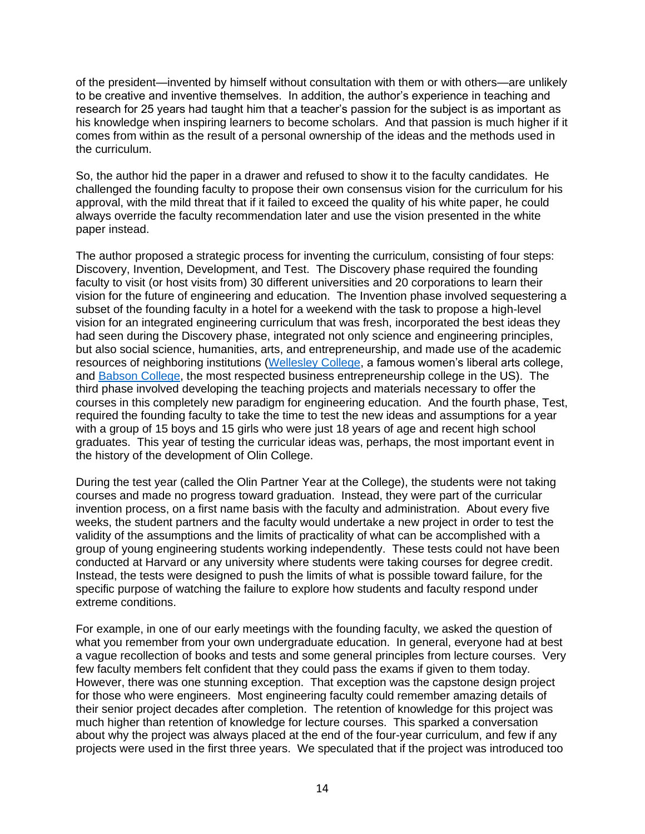of the president—invented by himself without consultation with them or with others—are unlikely to be creative and inventive themselves. In addition, the author's experience in teaching and research for 25 years had taught him that a teacher's passion for the subject is as important as his knowledge when inspiring learners to become scholars. And that passion is much higher if it comes from within as the result of a personal ownership of the ideas and the methods used in the curriculum.

So, the author hid the paper in a drawer and refused to show it to the faculty candidates. He challenged the founding faculty to propose their own consensus vision for the curriculum for his approval, with the mild threat that if it failed to exceed the quality of his white paper, he could always override the faculty recommendation later and use the vision presented in the white paper instead.

The author proposed a strategic process for inventing the curriculum, consisting of four steps: Discovery, Invention, Development, and Test. The Discovery phase required the founding faculty to visit (or host visits from) 30 different universities and 20 corporations to learn their vision for the future of engineering and education. The Invention phase involved sequestering a subset of the founding faculty in a hotel for a weekend with the task to propose a high-level vision for an integrated engineering curriculum that was fresh, incorporated the best ideas they had seen during the Discovery phase, integrated not only science and engineering principles, but also social science, humanities, arts, and entrepreneurship, and made use of the academic resources of neighboring institutions [\(Wellesley College,](https://www.wellesley.edu/) a famous women's liberal arts college, and [Babson College,](https://www.babson.edu/) the most respected business entrepreneurship college in the US). The third phase involved developing the teaching projects and materials necessary to offer the courses in this completely new paradigm for engineering education. And the fourth phase, Test, required the founding faculty to take the time to test the new ideas and assumptions for a year with a group of 15 boys and 15 girls who were just 18 years of age and recent high school graduates. This year of testing the curricular ideas was, perhaps, the most important event in the history of the development of Olin College.

During the test year (called the Olin Partner Year at the College), the students were not taking courses and made no progress toward graduation. Instead, they were part of the curricular invention process, on a first name basis with the faculty and administration. About every five weeks, the student partners and the faculty would undertake a new project in order to test the validity of the assumptions and the limits of practicality of what can be accomplished with a group of young engineering students working independently. These tests could not have been conducted at Harvard or any university where students were taking courses for degree credit. Instead, the tests were designed to push the limits of what is possible toward failure, for the specific purpose of watching the failure to explore how students and faculty respond under extreme conditions.

For example, in one of our early meetings with the founding faculty, we asked the question of what you remember from your own undergraduate education. In general, everyone had at best a vague recollection of books and tests and some general principles from lecture courses. Very few faculty members felt confident that they could pass the exams if given to them today. However, there was one stunning exception. That exception was the capstone design project for those who were engineers. Most engineering faculty could remember amazing details of their senior project decades after completion. The retention of knowledge for this project was much higher than retention of knowledge for lecture courses. This sparked a conversation about why the project was always placed at the end of the four-year curriculum, and few if any projects were used in the first three years. We speculated that if the project was introduced too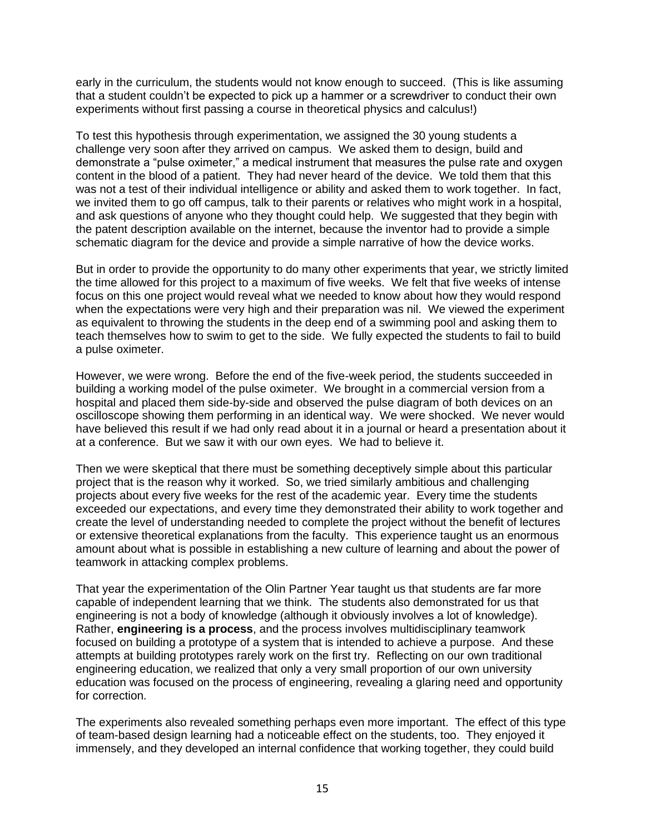early in the curriculum, the students would not know enough to succeed. (This is like assuming that a student couldn't be expected to pick up a hammer or a screwdriver to conduct their own experiments without first passing a course in theoretical physics and calculus!)

To test this hypothesis through experimentation, we assigned the 30 young students a challenge very soon after they arrived on campus. We asked them to design, build and demonstrate a "pulse oximeter," a medical instrument that measures the pulse rate and oxygen content in the blood of a patient. They had never heard of the device. We told them that this was not a test of their individual intelligence or ability and asked them to work together. In fact, we invited them to go off campus, talk to their parents or relatives who might work in a hospital, and ask questions of anyone who they thought could help. We suggested that they begin with the patent description available on the internet, because the inventor had to provide a simple schematic diagram for the device and provide a simple narrative of how the device works.

But in order to provide the opportunity to do many other experiments that year, we strictly limited the time allowed for this project to a maximum of five weeks. We felt that five weeks of intense focus on this one project would reveal what we needed to know about how they would respond when the expectations were very high and their preparation was nil. We viewed the experiment as equivalent to throwing the students in the deep end of a swimming pool and asking them to teach themselves how to swim to get to the side. We fully expected the students to fail to build a pulse oximeter.

However, we were wrong. Before the end of the five-week period, the students succeeded in building a working model of the pulse oximeter. We brought in a commercial version from a hospital and placed them side-by-side and observed the pulse diagram of both devices on an oscilloscope showing them performing in an identical way. We were shocked. We never would have believed this result if we had only read about it in a journal or heard a presentation about it at a conference. But we saw it with our own eyes. We had to believe it.

Then we were skeptical that there must be something deceptively simple about this particular project that is the reason why it worked. So, we tried similarly ambitious and challenging projects about every five weeks for the rest of the academic year. Every time the students exceeded our expectations, and every time they demonstrated their ability to work together and create the level of understanding needed to complete the project without the benefit of lectures or extensive theoretical explanations from the faculty. This experience taught us an enormous amount about what is possible in establishing a new culture of learning and about the power of teamwork in attacking complex problems.

That year the experimentation of the Olin Partner Year taught us that students are far more capable of independent learning that we think. The students also demonstrated for us that engineering is not a body of knowledge (although it obviously involves a lot of knowledge). Rather, **engineering is a process**, and the process involves multidisciplinary teamwork focused on building a prototype of a system that is intended to achieve a purpose. And these attempts at building prototypes rarely work on the first try. Reflecting on our own traditional engineering education, we realized that only a very small proportion of our own university education was focused on the process of engineering, revealing a glaring need and opportunity for correction.

The experiments also revealed something perhaps even more important. The effect of this type of team-based design learning had a noticeable effect on the students, too. They enjoyed it immensely, and they developed an internal confidence that working together, they could build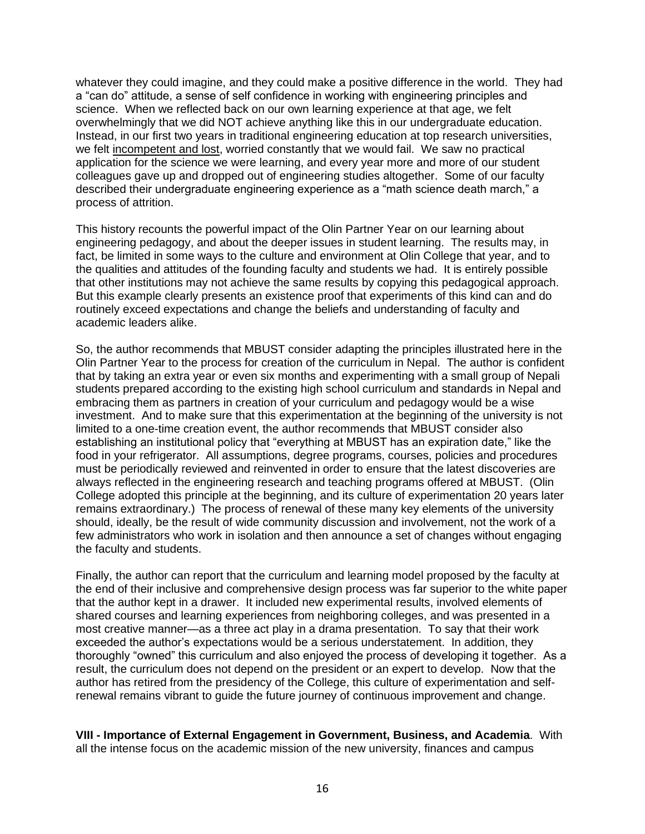whatever they could imagine, and they could make a positive difference in the world. They had a "can do" attitude, a sense of self confidence in working with engineering principles and science. When we reflected back on our own learning experience at that age, we felt overwhelmingly that we did NOT achieve anything like this in our undergraduate education. Instead, in our first two years in traditional engineering education at top research universities, we felt incompetent and lost, worried constantly that we would fail. We saw no practical application for the science we were learning, and every year more and more of our student colleagues gave up and dropped out of engineering studies altogether. Some of our faculty described their undergraduate engineering experience as a "math science death march," a process of attrition.

This history recounts the powerful impact of the Olin Partner Year on our learning about engineering pedagogy, and about the deeper issues in student learning. The results may, in fact, be limited in some ways to the culture and environment at Olin College that year, and to the qualities and attitudes of the founding faculty and students we had. It is entirely possible that other institutions may not achieve the same results by copying this pedagogical approach. But this example clearly presents an existence proof that experiments of this kind can and do routinely exceed expectations and change the beliefs and understanding of faculty and academic leaders alike.

So, the author recommends that MBUST consider adapting the principles illustrated here in the Olin Partner Year to the process for creation of the curriculum in Nepal. The author is confident that by taking an extra year or even six months and experimenting with a small group of Nepali students prepared according to the existing high school curriculum and standards in Nepal and embracing them as partners in creation of your curriculum and pedagogy would be a wise investment. And to make sure that this experimentation at the beginning of the university is not limited to a one-time creation event, the author recommends that MBUST consider also establishing an institutional policy that "everything at MBUST has an expiration date," like the food in your refrigerator. All assumptions, degree programs, courses, policies and procedures must be periodically reviewed and reinvented in order to ensure that the latest discoveries are always reflected in the engineering research and teaching programs offered at MBUST. (Olin College adopted this principle at the beginning, and its culture of experimentation 20 years later remains extraordinary.) The process of renewal of these many key elements of the university should, ideally, be the result of wide community discussion and involvement, not the work of a few administrators who work in isolation and then announce a set of changes without engaging the faculty and students.

Finally, the author can report that the curriculum and learning model proposed by the faculty at the end of their inclusive and comprehensive design process was far superior to the white paper that the author kept in a drawer. It included new experimental results, involved elements of shared courses and learning experiences from neighboring colleges, and was presented in a most creative manner—as a three act play in a drama presentation. To say that their work exceeded the author's expectations would be a serious understatement. In addition, they thoroughly "owned" this curriculum and also enjoyed the process of developing it together. As a result, the curriculum does not depend on the president or an expert to develop. Now that the author has retired from the presidency of the College, this culture of experimentation and selfrenewal remains vibrant to guide the future journey of continuous improvement and change.

**VIII - Importance of External Engagement in Government, Business, and Academia**. With all the intense focus on the academic mission of the new university, finances and campus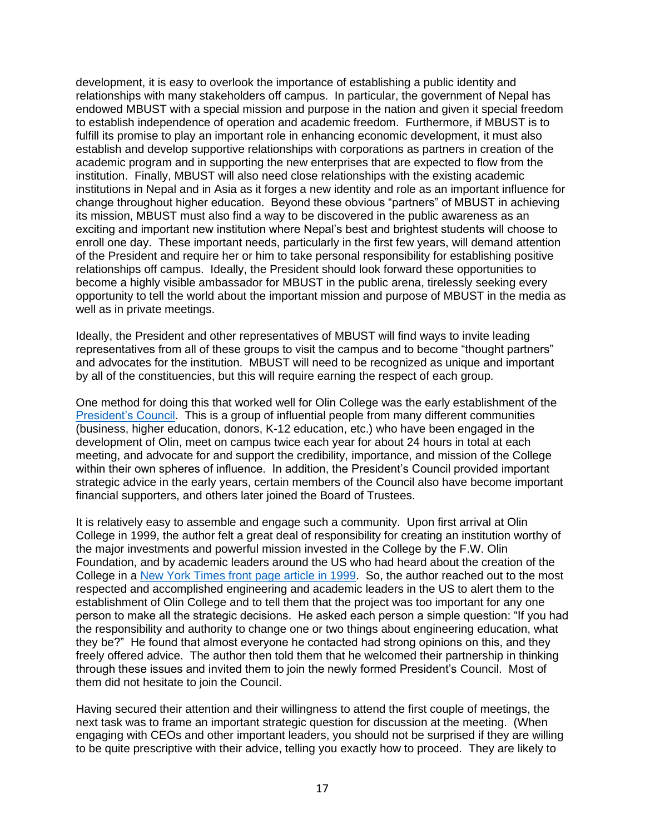development, it is easy to overlook the importance of establishing a public identity and relationships with many stakeholders off campus. In particular, the government of Nepal has endowed MBUST with a special mission and purpose in the nation and given it special freedom to establish independence of operation and academic freedom. Furthermore, if MBUST is to fulfill its promise to play an important role in enhancing economic development, it must also establish and develop supportive relationships with corporations as partners in creation of the academic program and in supporting the new enterprises that are expected to flow from the institution. Finally, MBUST will also need close relationships with the existing academic institutions in Nepal and in Asia as it forges a new identity and role as an important influence for change throughout higher education. Beyond these obvious "partners" of MBUST in achieving its mission, MBUST must also find a way to be discovered in the public awareness as an exciting and important new institution where Nepal's best and brightest students will choose to enroll one day. These important needs, particularly in the first few years, will demand attention of the President and require her or him to take personal responsibility for establishing positive relationships off campus. Ideally, the President should look forward these opportunities to become a highly visible ambassador for MBUST in the public arena, tirelessly seeking every opportunity to tell the world about the important mission and purpose of MBUST in the media as well as in private meetings.

Ideally, the President and other representatives of MBUST will find ways to invite leading representatives from all of these groups to visit the campus and to become "thought partners" and advocates for the institution. MBUST will need to be recognized as unique and important by all of the constituencies, but this will require earning the respect of each group.

One method for doing this that worked well for Olin College was the early establishment of the [President's Council.](https://www.olin.edu/about/presidents-council/) This is a group of influential people from many different communities (business, higher education, donors, K-12 education, etc.) who have been engaged in the development of Olin, meet on campus twice each year for about 24 hours in total at each meeting, and advocate for and support the credibility, importance, and mission of the College within their own spheres of influence. In addition, the President's Council provided important strategic advice in the early years, certain members of the Council also have become important financial supporters, and others later joined the Board of Trustees.

It is relatively easy to assemble and engage such a community. Upon first arrival at Olin College in 1999, the author felt a great deal of responsibility for creating an institution worthy of the major investments and powerful mission invested in the College by the F.W. Olin Foundation, and by academic leaders around the US who had heard about the creation of the College in a [New York Times front page article in 1999.](https://www.nytimes.com/1999/01/06/us/engineering-school-names-its-founding-president.html) So, the author reached out to the most respected and accomplished engineering and academic leaders in the US to alert them to the establishment of Olin College and to tell them that the project was too important for any one person to make all the strategic decisions. He asked each person a simple question: "If you had the responsibility and authority to change one or two things about engineering education, what they be?" He found that almost everyone he contacted had strong opinions on this, and they freely offered advice. The author then told them that he welcomed their partnership in thinking through these issues and invited them to join the newly formed President's Council. Most of them did not hesitate to join the Council.

Having secured their attention and their willingness to attend the first couple of meetings, the next task was to frame an important strategic question for discussion at the meeting. (When engaging with CEOs and other important leaders, you should not be surprised if they are willing to be quite prescriptive with their advice, telling you exactly how to proceed. They are likely to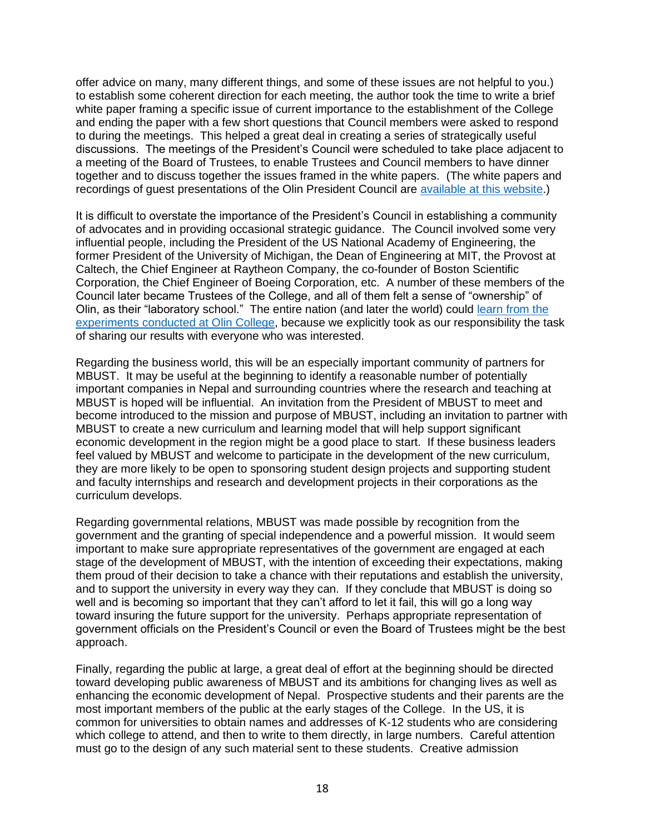offer advice on many, many different things, and some of these issues are not helpful to you.) to establish some coherent direction for each meeting, the author took the time to write a brief white paper framing a specific issue of current importance to the establishment of the College and ending the paper with a few short questions that Council members were asked to respond to during the meetings. This helped a great deal in creating a series of strategically useful discussions. The meetings of the President's Council were scheduled to take place adjacent to a meeting of the Board of Trustees, to enable Trustees and Council members to have dinner together and to discuss together the issues framed in the white papers. (The white papers and recordings of guest presentations of the Olin President Council are [available at this website.](https://www.olin.edu/about/presidents-council/))

It is difficult to overstate the importance of the President's Council in establishing a community of advocates and in providing occasional strategic guidance. The Council involved some very influential people, including the President of the US National Academy of Engineering, the former President of the University of Michigan, the Dean of Engineering at MIT, the Provost at Caltech, the Chief Engineer at Raytheon Company, the co-founder of Boston Scientific Corporation, the Chief Engineer of Boeing Corporation, etc. A number of these members of the Council later became Trustees of the College, and all of them felt a sense of "ownership" of Olin, as their "laboratory school." The entire nation (and later the world) could [learn from the](https://res2.weblium.site/res/5e5837aee8e6180021564660/5edeabcd44e8300022bf5a9f)  [experiments conducted at Olin College,](https://res2.weblium.site/res/5e5837aee8e6180021564660/5edeabcd44e8300022bf5a9f) because we explicitly took as our responsibility the task of sharing our results with everyone who was interested.

Regarding the business world, this will be an especially important community of partners for MBUST. It may be useful at the beginning to identify a reasonable number of potentially important companies in Nepal and surrounding countries where the research and teaching at MBUST is hoped will be influential. An invitation from the President of MBUST to meet and become introduced to the mission and purpose of MBUST, including an invitation to partner with MBUST to create a new curriculum and learning model that will help support significant economic development in the region might be a good place to start. If these business leaders feel valued by MBUST and welcome to participate in the development of the new curriculum, they are more likely to be open to sponsoring student design projects and supporting student and faculty internships and research and development projects in their corporations as the curriculum develops.

Regarding governmental relations, MBUST was made possible by recognition from the government and the granting of special independence and a powerful mission. It would seem important to make sure appropriate representatives of the government are engaged at each stage of the development of MBUST, with the intention of exceeding their expectations, making them proud of their decision to take a chance with their reputations and establish the university, and to support the university in every way they can. If they conclude that MBUST is doing so well and is becoming so important that they can't afford to let it fail, this will go a long way toward insuring the future support for the university. Perhaps appropriate representation of government officials on the President's Council or even the Board of Trustees might be the best approach.

Finally, regarding the public at large, a great deal of effort at the beginning should be directed toward developing public awareness of MBUST and its ambitions for changing lives as well as enhancing the economic development of Nepal. Prospective students and their parents are the most important members of the public at the early stages of the College. In the US, it is common for universities to obtain names and addresses of K-12 students who are considering which college to attend, and then to write to them directly, in large numbers. Careful attention must go to the design of any such material sent to these students. Creative admission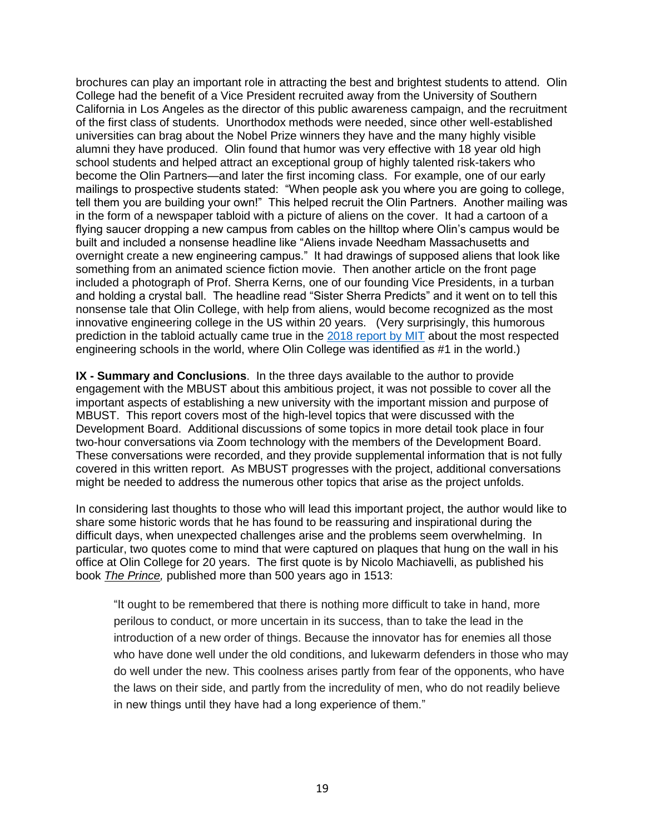brochures can play an important role in attracting the best and brightest students to attend. Olin College had the benefit of a Vice President recruited away from the University of Southern California in Los Angeles as the director of this public awareness campaign, and the recruitment of the first class of students. Unorthodox methods were needed, since other well-established universities can brag about the Nobel Prize winners they have and the many highly visible alumni they have produced. Olin found that humor was very effective with 18 year old high school students and helped attract an exceptional group of highly talented risk-takers who become the Olin Partners—and later the first incoming class. For example, one of our early mailings to prospective students stated: "When people ask you where you are going to college, tell them you are building your own!" This helped recruit the Olin Partners. Another mailing was in the form of a newspaper tabloid with a picture of aliens on the cover. It had a cartoon of a flying saucer dropping a new campus from cables on the hilltop where Olin's campus would be built and included a nonsense headline like "Aliens invade Needham Massachusetts and overnight create a new engineering campus." It had drawings of supposed aliens that look like something from an animated science fiction movie. Then another article on the front page included a photograph of Prof. Sherra Kerns, one of our founding Vice Presidents, in a turban and holding a crystal ball. The headline read "Sister Sherra Predicts" and it went on to tell this nonsense tale that Olin College, with help from aliens, would become recognized as the most innovative engineering college in the US within 20 years. (Very surprisingly, this humorous prediction in the tabloid actually came true in the [2018 report by MIT](https://res2.weblium.site/res/5e5837aee8e6180021564660/5edeabcd44e8300022bf5a9f) about the most respected engineering schools in the world, where Olin College was identified as #1 in the world.)

**IX - Summary and Conclusions**. In the three days available to the author to provide engagement with the MBUST about this ambitious project, it was not possible to cover all the important aspects of establishing a new university with the important mission and purpose of MBUST. This report covers most of the high-level topics that were discussed with the Development Board. Additional discussions of some topics in more detail took place in four two-hour conversations via Zoom technology with the members of the Development Board. These conversations were recorded, and they provide supplemental information that is not fully covered in this written report. As MBUST progresses with the project, additional conversations might be needed to address the numerous other topics that arise as the project unfolds.

In considering last thoughts to those who will lead this important project, the author would like to share some historic words that he has found to be reassuring and inspirational during the difficult days, when unexpected challenges arise and the problems seem overwhelming. In particular, two quotes come to mind that were captured on plaques that hung on the wall in his office at Olin College for 20 years. The first quote is by Nicolo Machiavelli, as published his book *The Prince,* published more than 500 years ago in 1513:

"It ought to be remembered that there is nothing more difficult to take in hand, more perilous to conduct, or more uncertain in its success, than to take the lead in the introduction of a new order of things. Because the innovator has for enemies all those who have done well under the old conditions, and lukewarm defenders in those who may do well under the new. This coolness arises partly from fear of the opponents, who have the laws on their side, and partly from the incredulity of men, who do not readily believe in new things until they have had a long experience of them."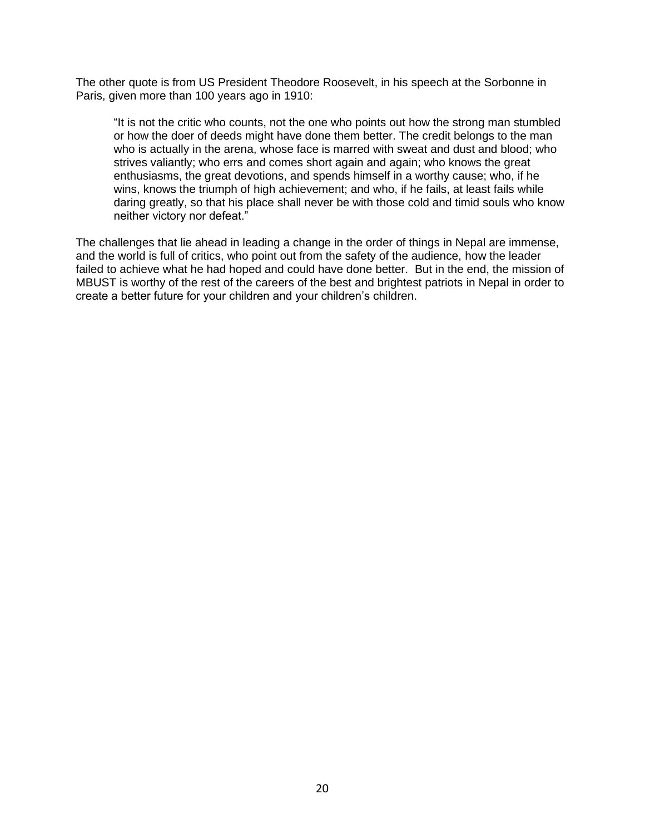The other quote is from US President Theodore Roosevelt, in his speech at the Sorbonne in Paris, given more than 100 years ago in 1910:

"It is not the critic who counts, not the one who points out how the strong man stumbled or how the doer of deeds might have done them better. The credit belongs to the man who is actually in the arena, whose face is marred with sweat and dust and blood; who strives valiantly; who errs and comes short again and again; who knows the great enthusiasms, the great devotions, and spends himself in a worthy cause; who, if he wins, knows the triumph of high achievement; and who, if he fails, at least fails while daring greatly, so that his place shall never be with those cold and timid souls who know neither victory nor defeat."

The challenges that lie ahead in leading a change in the order of things in Nepal are immense, and the world is full of critics, who point out from the safety of the audience, how the leader failed to achieve what he had hoped and could have done better. But in the end, the mission of MBUST is worthy of the rest of the careers of the best and brightest patriots in Nepal in order to create a better future for your children and your children's children.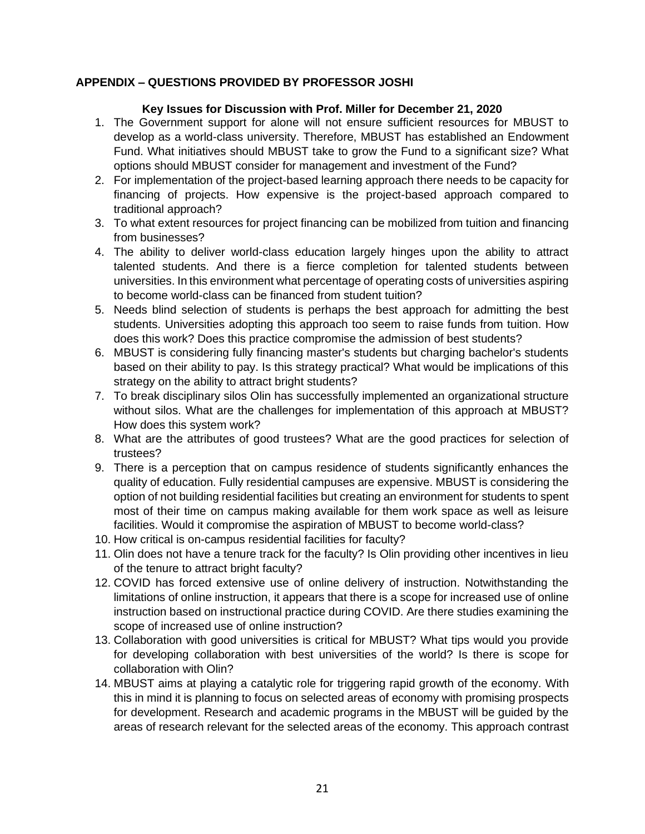# **APPENDIX – QUESTIONS PROVIDED BY PROFESSOR JOSHI**

## **Key Issues for Discussion with Prof. Miller for December 21, 2020**

- 1. The Government support for alone will not ensure sufficient resources for MBUST to develop as a world-class university. Therefore, MBUST has established an Endowment Fund. What initiatives should MBUST take to grow the Fund to a significant size? What options should MBUST consider for management and investment of the Fund?
- 2. For implementation of the project-based learning approach there needs to be capacity for financing of projects. How expensive is the project-based approach compared to traditional approach?
- 3. To what extent resources for project financing can be mobilized from tuition and financing from businesses?
- 4. The ability to deliver world-class education largely hinges upon the ability to attract talented students. And there is a fierce completion for talented students between universities. In this environment what percentage of operating costs of universities aspiring to become world-class can be financed from student tuition?
- 5. Needs blind selection of students is perhaps the best approach for admitting the best students. Universities adopting this approach too seem to raise funds from tuition. How does this work? Does this practice compromise the admission of best students?
- 6. MBUST is considering fully financing master's students but charging bachelor's students based on their ability to pay. Is this strategy practical? What would be implications of this strategy on the ability to attract bright students?
- 7. To break disciplinary silos Olin has successfully implemented an organizational structure without silos. What are the challenges for implementation of this approach at MBUST? How does this system work?
- 8. What are the attributes of good trustees? What are the good practices for selection of trustees?
- 9. There is a perception that on campus residence of students significantly enhances the quality of education. Fully residential campuses are expensive. MBUST is considering the option of not building residential facilities but creating an environment for students to spent most of their time on campus making available for them work space as well as leisure facilities. Would it compromise the aspiration of MBUST to become world-class?
- 10. How critical is on-campus residential facilities for faculty?
- 11. Olin does not have a tenure track for the faculty? Is Olin providing other incentives in lieu of the tenure to attract bright faculty?
- 12. COVID has forced extensive use of online delivery of instruction. Notwithstanding the limitations of online instruction, it appears that there is a scope for increased use of online instruction based on instructional practice during COVID. Are there studies examining the scope of increased use of online instruction?
- 13. Collaboration with good universities is critical for MBUST? What tips would you provide for developing collaboration with best universities of the world? Is there is scope for collaboration with Olin?
- 14. MBUST aims at playing a catalytic role for triggering rapid growth of the economy. With this in mind it is planning to focus on selected areas of economy with promising prospects for development. Research and academic programs in the MBUST will be guided by the areas of research relevant for the selected areas of the economy. This approach contrast